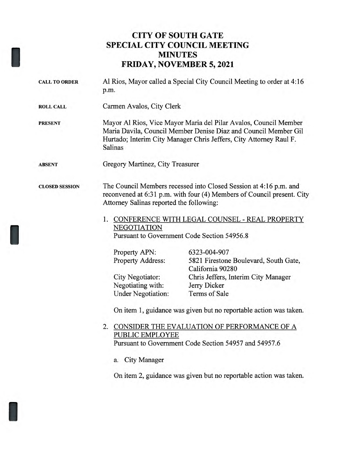## **CITY OF SOUTH GATE SPECIAL CITY COUNCIL MEETING MINUTES FRIDAY, NOVEMBER 5, 2021**

| <b>CALL TO ORDER</b>  | Al Rios, Mayor called a Special City Council Meeting to order at 4:16<br>p.m.                                                                                                                                        |                                                           |
|-----------------------|----------------------------------------------------------------------------------------------------------------------------------------------------------------------------------------------------------------------|-----------------------------------------------------------|
|                       |                                                                                                                                                                                                                      |                                                           |
| <b>ROLL CALL</b>      | Carmen Avalos, City Clerk                                                                                                                                                                                            |                                                           |
| <b>PRESENT</b>        | Mayor Al Rios, Vice Mayor Maria del Pilar Avalos, Council Member<br>Maria Davila, Council Member Denise Diaz and Council Member Gil<br>Hurtado; Interim City Manager Chris Jeffers, City Attorney Raul F.<br>Salinas |                                                           |
| <b>ABSENT</b>         | Gregory Martinez, City Treasurer                                                                                                                                                                                     |                                                           |
| <b>CLOSED SESSION</b> | The Council Members recessed into Closed Session at 4:16 p.m. and<br>reconvened at 6:31 p.m. with four (4) Members of Council present. City<br>Attorney Salinas reported the following:                              |                                                           |
|                       | 1. CONFERENCE WITH LEGAL COUNSEL - REAL PROPERTY                                                                                                                                                                     |                                                           |
|                       | <b>NEGOTIATION</b>                                                                                                                                                                                                   |                                                           |
|                       | Pursuant to Government Code Section 54956.8                                                                                                                                                                          |                                                           |
|                       | Property APN:                                                                                                                                                                                                        | 6323-004-907                                              |
|                       | <b>Property Address:</b>                                                                                                                                                                                             | 5821 Firestone Boulevard, South Gate,<br>California 90280 |
|                       | City Negotiator:                                                                                                                                                                                                     | Chris Jeffers, Interim City Manager                       |
|                       | Negotiating with:                                                                                                                                                                                                    | Jerry Dicker                                              |
|                       | <b>Under Negotiation:</b>                                                                                                                                                                                            | Terms of Sale                                             |
|                       | On item 1, guidance was given but no reportable action was taken.                                                                                                                                                    |                                                           |
|                       | 2. CONSIDER THE EVALUATION OF PERFORMANCE OF A<br>PUBLIC EMPLOYEE<br>Pursuant to Government Code Section 54957 and 54957.6                                                                                           |                                                           |
|                       | <b>City Manager</b><br>a.                                                                                                                                                                                            |                                                           |
|                       | On item 2, guidance was given but no reportable action was taken.                                                                                                                                                    |                                                           |
|                       |                                                                                                                                                                                                                      |                                                           |